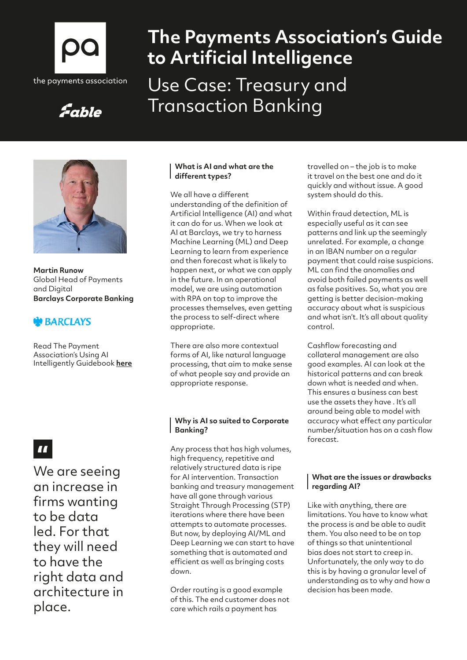

Fable

# **The Payments Association's Guide to Artificial Intelligence**

Use Case: Treasury and Transaction Banking



**Martin Runow**  Global Head of Payments and Digital **Barclays Corporate Banking**

### **BARCLAYS**

Read The Payment Association's Using AI Intelligently Guidebook **[here](https://thepaymentsassociation.org/whitepaper/using-ai-intelligently-smart-ways-to-use-artificial-intelligence-in-payments/)**

## $\blacksquare$

We are seeing an increase in firms wanting to be data led. For that they will need to have the right data and architecture in place.

#### **What is AI and what are the different types?**

We all have a different understanding of the definition of Artificial Intelligence (AI) and what it can do for us. When we look at AI at Barclays, we try to harness Machine Learning (ML) and Deep Learning to learn from experience and then forecast what is likely to happen next, or what we can apply in the future. In an operational model, we are using automation with RPA on top to improve the processes themselves, even getting the process to self-direct where appropriate.

There are also more contextual forms of AI, like natural language processing, that aim to make sense of what people say and provide an appropriate response.

#### **Why is AI so suited to Corporate Banking?**

Any process that has high volumes, high frequency, repetitive and relatively structured data is ripe for AI intervention. Transaction banking and treasury management have all gone through various Straight Through Processing (STP) iterations where there have been attempts to automate processes. But now, by deploying AI/ML and Deep Learning we can start to have something that is automated and efficient as well as bringing costs down.

Order routing is a good example of this. The end customer does not care which rails a payment has

travelled on – the job is to make it travel on the best one and do it quickly and without issue. A good system should do this.

Within fraud detection, ML is especially useful as it can see patterns and link up the seemingly unrelated. For example, a change in an IBAN number on a regular payment that could raise suspicions. ML can find the anomalies and avoid both failed payments as well as false positives. So, what you are getting is better decision-making accuracy about what is suspicious and what isn't. It's all about quality control.

Cashflow forecasting and collateral management are also good examples. AI can look at the historical patterns and can break down what is needed and when. This ensures a business can best use the assets they have . It's all around being able to model with accuracy what effect any particular number/situation has on a cash flow forecast.

#### **What are the issues or drawbacks regarding AI?**

Like with anything, there are limitations. You have to know what the process is and be able to audit them. You also need to be on top of things so that unintentional bias does not start to creep in. Unfortunately, the only way to do this is by having a granular level of understanding as to why and how a decision has been made.